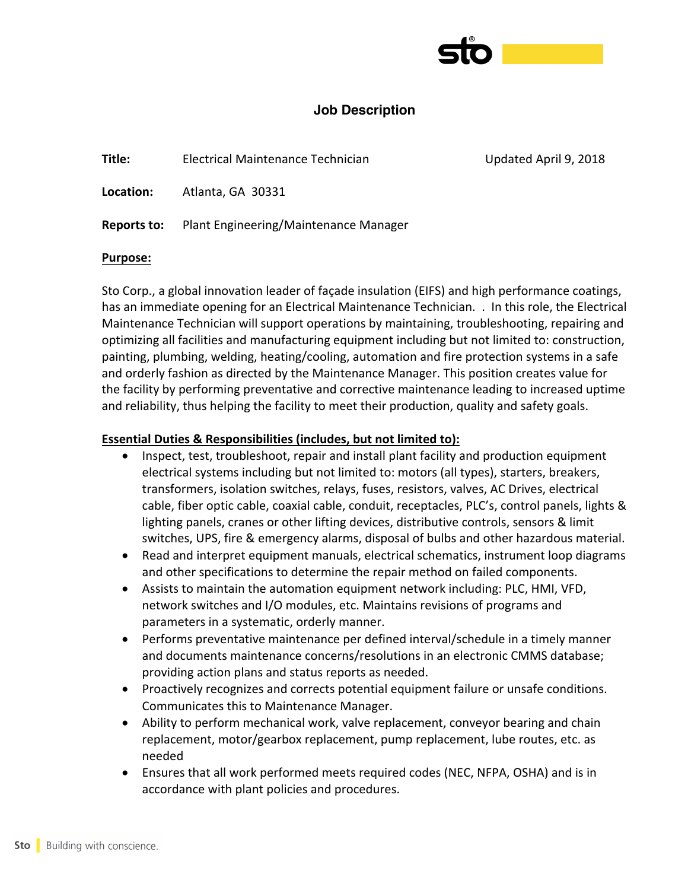

# **Job Description**

**Title:** Electrical Maintenance Technician Updated April 9, 2018

Location: Atlanta, GA 30331

**Reports to:** Plant Engineering/Maintenance Manager

#### **Purpose:**

Sto Corp., a global innovation leader of façade insulation (EIFS) and high performance coatings, has an immediate opening for an Electrical Maintenance Technician. . In this role, the Electrical Maintenance Technician will support operations by maintaining, troubleshooting, repairing and optimizing all facilities and manufacturing equipment including but not limited to: construction, painting, plumbing, welding, heating/cooling, automation and fire protection systems in a safe and orderly fashion as directed by the Maintenance Manager. This position creates value for the facility by performing preventative and corrective maintenance leading to increased uptime and reliability, thus helping the facility to meet their production, quality and safety goals.

# **Essential Duties & Responsibilities (includes, but not limited to):**

- Inspect, test, troubleshoot, repair and install plant facility and production equipment electrical systems including but not limited to: motors (all types), starters, breakers, transformers, isolation switches, relays, fuses, resistors, valves, AC Drives, electrical cable, fiber optic cable, coaxial cable, conduit, receptacles, PLC's, control panels, lights & lighting panels, cranes or other lifting devices, distributive controls, sensors & limit switches, UPS, fire & emergency alarms, disposal of bulbs and other hazardous material.
- Read and interpret equipment manuals, electrical schematics, instrument loop diagrams and other specifications to determine the repair method on failed components.
- Assists to maintain the automation equipment network including: PLC, HMI, VFD, network switches and I/O modules, etc. Maintains revisions of programs and parameters in a systematic, orderly manner.
- Performs preventative maintenance per defined interval/schedule in a timely manner and documents maintenance concerns/resolutions in an electronic CMMS database; providing action plans and status reports as needed.
- Proactively recognizes and corrects potential equipment failure or unsafe conditions. Communicates this to Maintenance Manager.
- Ability to perform mechanical work, valve replacement, conveyor bearing and chain replacement, motor/gearbox replacement, pump replacement, lube routes, etc. as needed
- Ensures that all work performed meets required codes (NEC, NFPA, OSHA) and is in accordance with plant policies and procedures.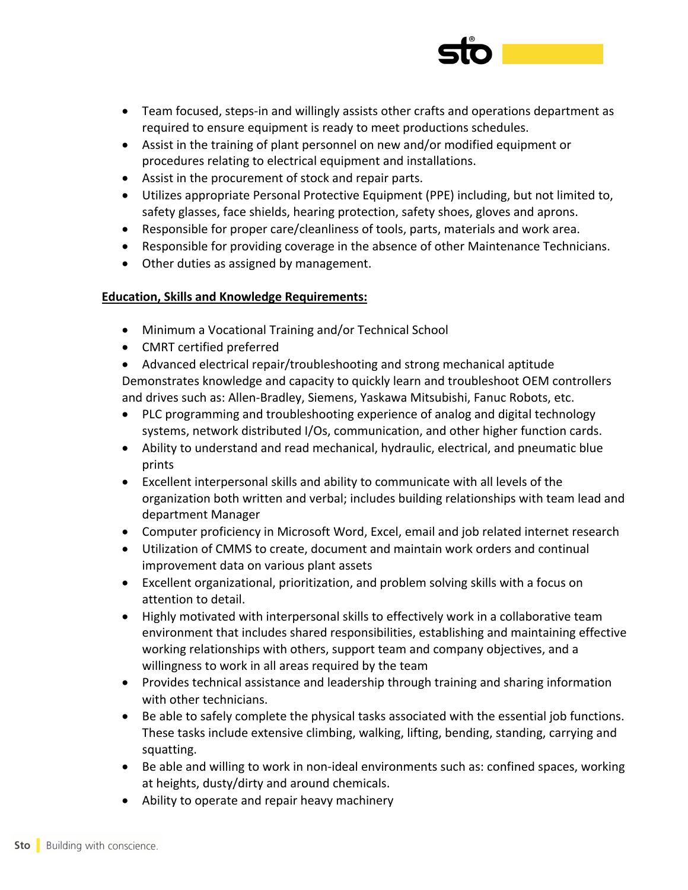

- Team focused, steps-in and willingly assists other crafts and operations department as required to ensure equipment is ready to meet productions schedules.
- Assist in the training of plant personnel on new and/or modified equipment or procedures relating to electrical equipment and installations.
- Assist in the procurement of stock and repair parts.
- Utilizes appropriate Personal Protective Equipment (PPE) including, but not limited to, safety glasses, face shields, hearing protection, safety shoes, gloves and aprons.
- Responsible for proper care/cleanliness of tools, parts, materials and work area.
- Responsible for providing coverage in the absence of other Maintenance Technicians.
- Other duties as assigned by management.

# **Education, Skills and Knowledge Requirements:**

- Minimum a Vocational Training and/or Technical School
- CMRT certified preferred

• Advanced electrical repair/troubleshooting and strong mechanical aptitude Demonstrates knowledge and capacity to quickly learn and troubleshoot OEM controllers and drives such as: Allen-Bradley, Siemens, Yaskawa Mitsubishi, Fanuc Robots, etc.

- PLC programming and troubleshooting experience of analog and digital technology systems, network distributed I/Os, communication, and other higher function cards.
- Ability to understand and read mechanical, hydraulic, electrical, and pneumatic blue prints
- Excellent interpersonal skills and ability to communicate with all levels of the organization both written and verbal; includes building relationships with team lead and department Manager
- Computer proficiency in Microsoft Word, Excel, email and job related internet research
- Utilization of CMMS to create, document and maintain work orders and continual improvement data on various plant assets
- Excellent organizational, prioritization, and problem solving skills with a focus on attention to detail.
- Highly motivated with interpersonal skills to effectively work in a collaborative team environment that includes shared responsibilities, establishing and maintaining effective working relationships with others, support team and company objectives, and a willingness to work in all areas required by the team
- Provides technical assistance and leadership through training and sharing information with other technicians.
- Be able to safely complete the physical tasks associated with the essential job functions. These tasks include extensive climbing, walking, lifting, bending, standing, carrying and squatting.
- Be able and willing to work in non-ideal environments such as: confined spaces, working at heights, dusty/dirty and around chemicals.
- Ability to operate and repair heavy machinery